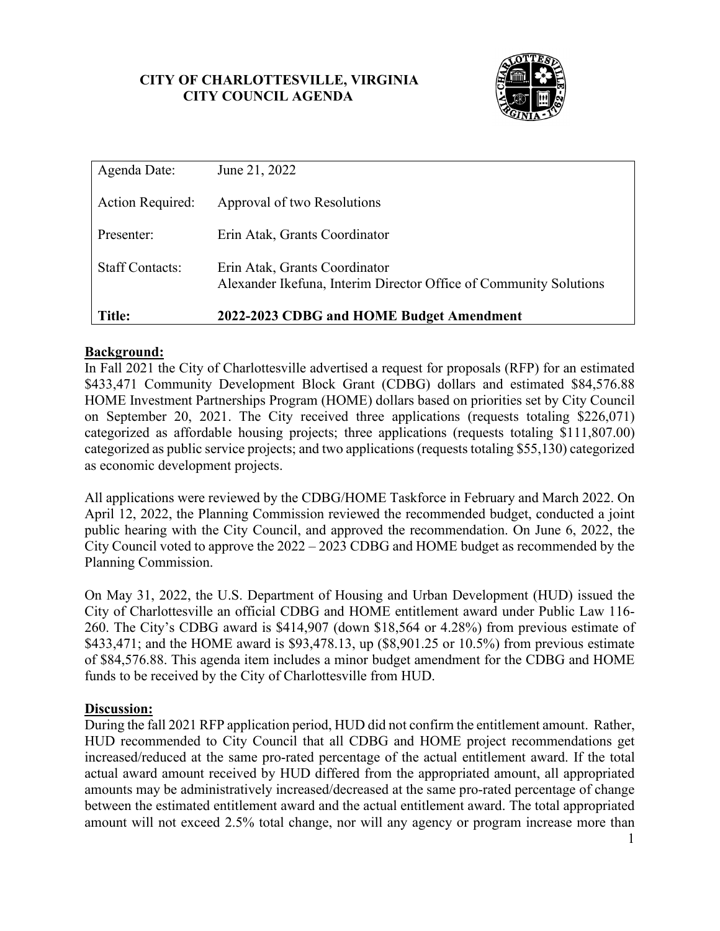## **CITY OF CHARLOTTESVILLE, VIRGINIA CITY COUNCIL AGENDA**



| Agenda Date:           | June 21, 2022                                                                                      |
|------------------------|----------------------------------------------------------------------------------------------------|
| Action Required:       | Approval of two Resolutions                                                                        |
| Presenter:             | Erin Atak, Grants Coordinator                                                                      |
| <b>Staff Contacts:</b> | Erin Atak, Grants Coordinator<br>Alexander Ikefuna, Interim Director Office of Community Solutions |
| Title:                 | 2022-2023 CDBG and HOME Budget Amendment                                                           |

## **Background:**

In Fall 2021 the City of Charlottesville advertised a request for proposals (RFP) for an estimated \$433,471 Community Development Block Grant (CDBG) dollars and estimated \$84,576.88 HOME Investment Partnerships Program (HOME) dollars based on priorities set by City Council on September 20, 2021. The City received three applications (requests totaling \$226,071) categorized as affordable housing projects; three applications (requests totaling \$111,807.00) categorized as public service projects; and two applications (requests totaling \$55,130) categorized as economic development projects.

All applications were reviewed by the CDBG/HOME Taskforce in February and March 2022. On April 12, 2022, the Planning Commission reviewed the recommended budget, conducted a joint public hearing with the City Council, and approved the recommendation. On June 6, 2022, the City Council voted to approve the 2022 – 2023 CDBG and HOME budget as recommended by the Planning Commission.

On May 31, 2022, the U.S. Department of Housing and Urban Development (HUD) issued the City of Charlottesville an official CDBG and HOME entitlement award under Public Law 116- 260. The City's CDBG award is \$414,907 (down \$18,564 or 4.28%) from previous estimate of \$433,471; and the HOME award is \$93,478.13, up (\$8,901.25 or 10.5%) from previous estimate of \$84,576.88. This agenda item includes a minor budget amendment for the CDBG and HOME funds to be received by the City of Charlottesville from HUD.

### **Discussion:**

During the fall 2021 RFP application period, HUD did not confirm the entitlement amount. Rather, HUD recommended to City Council that all CDBG and HOME project recommendations get increased/reduced at the same pro-rated percentage of the actual entitlement award. If the total actual award amount received by HUD differed from the appropriated amount, all appropriated amounts may be administratively increased/decreased at the same pro-rated percentage of change between the estimated entitlement award and the actual entitlement award. The total appropriated amount will not exceed 2.5% total change, nor will any agency or program increase more than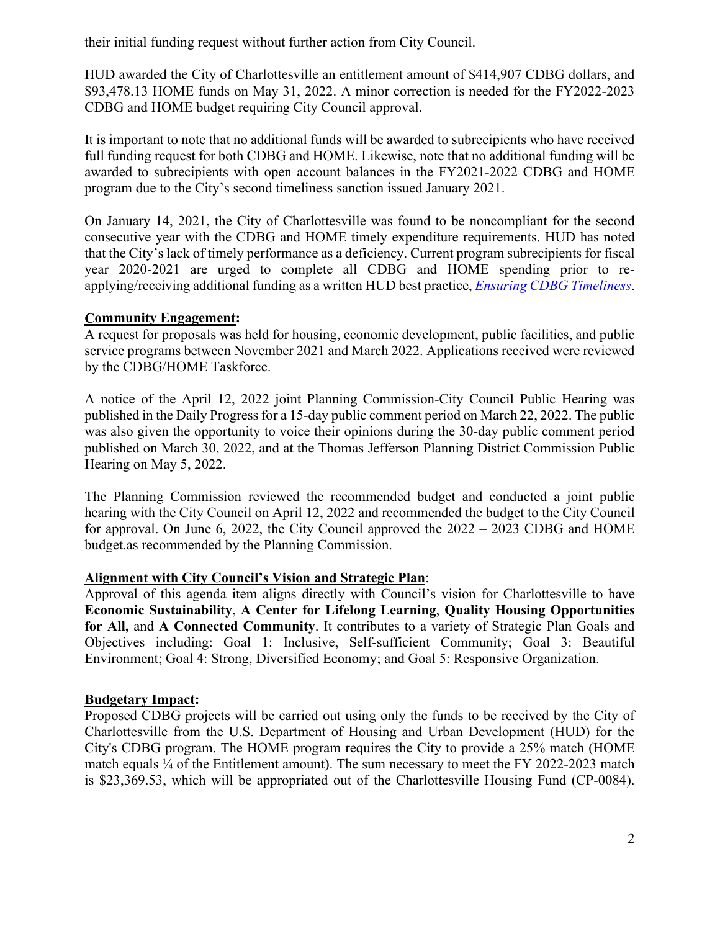their initial funding request without further action from City Council.

HUD awarded the City of Charlottesville an entitlement amount of \$414,907 CDBG dollars, and \$93,478.13 HOME funds on May 31, 2022. A minor correction is needed for the FY2022-2023 CDBG and HOME budget requiring City Council approval.

It is important to note that no additional funds will be awarded to subrecipients who have received full funding request for both CDBG and HOME. Likewise, note that no additional funding will be awarded to subrecipients with open account balances in the FY2021-2022 CDBG and HOME program due to the City's second timeliness sanction issued January 2021.

On January 14, 2021, the City of Charlottesville was found to be noncompliant for the second consecutive year with the CDBG and HOME timely expenditure requirements. HUD has noted that the City's lack of timely performance as a deficiency. Current program subrecipients for fiscal year 2020-2021 are urged to complete all CDBG and HOME spending prior to reapplying/receiving additional funding as a written HUD best practice, *[Ensuring CDBG Timeliness](https://files.hudexchange.info/resources/documents/Ensuring-CDBG-Subrecipient-Timelines.pdf)*.

## **Community Engagement:**

A request for proposals was held for housing, economic development, public facilities, and public service programs between November 2021 and March 2022. Applications received were reviewed by the CDBG/HOME Taskforce.

A notice of the April 12, 2022 joint Planning Commission-City Council Public Hearing was published in the Daily Progress for a 15-day public comment period on March 22, 2022. The public was also given the opportunity to voice their opinions during the 30-day public comment period published on March 30, 2022, and at the Thomas Jefferson Planning District Commission Public Hearing on May 5, 2022.

The Planning Commission reviewed the recommended budget and conducted a joint public hearing with the City Council on April 12, 2022 and recommended the budget to the City Council for approval. On June 6, 2022, the City Council approved the 2022 – 2023 CDBG and HOME budget.as recommended by the Planning Commission.

## **Alignment with City Council's Vision and Strategic Plan**:

Approval of this agenda item aligns directly with Council's vision for Charlottesville to have **Economic Sustainability**, **A Center for Lifelong Learning**, **Quality Housing Opportunities for All,** and **A Connected Community**. It contributes to a variety of Strategic Plan Goals and Objectives including: Goal 1: Inclusive, Self-sufficient Community; Goal 3: Beautiful Environment; Goal 4: Strong, Diversified Economy; and Goal 5: Responsive Organization.

## **Budgetary Impact:**

Proposed CDBG projects will be carried out using only the funds to be received by the City of Charlottesville from the U.S. Department of Housing and Urban Development (HUD) for the City's CDBG program. The HOME program requires the City to provide a 25% match (HOME match equals ¼ of the Entitlement amount). The sum necessary to meet the FY 2022-2023 match is \$23,369.53, which will be appropriated out of the Charlottesville Housing Fund (CP-0084).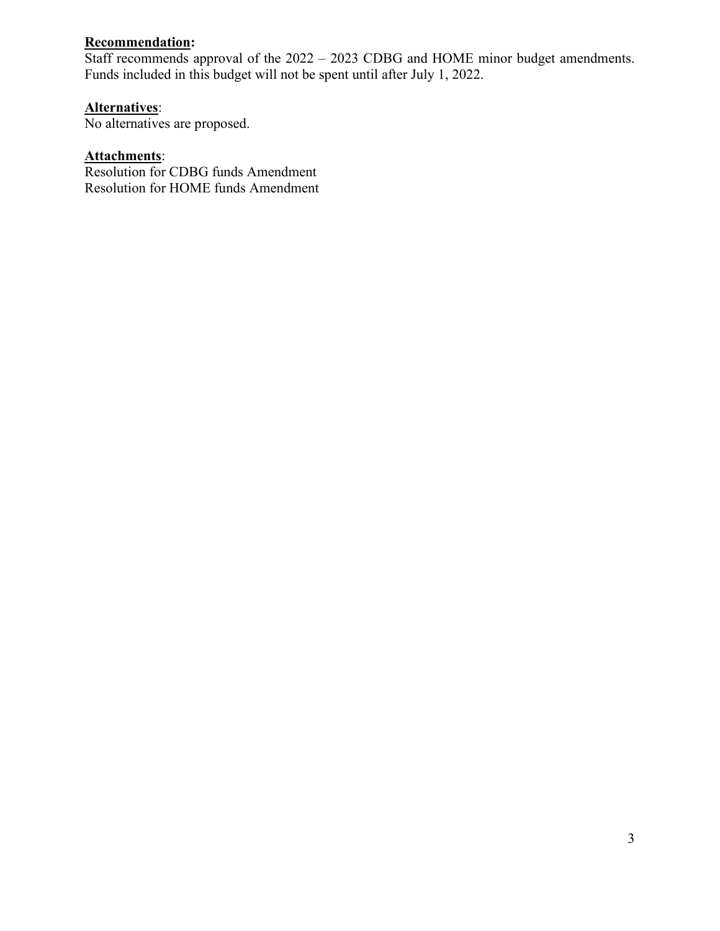# **Recommendation:**

Staff recommends approval of the 2022 – 2023 CDBG and HOME minor budget amendments. Funds included in this budget will not be spent until after July 1, 2022.

# **Alternatives**:

No alternatives are proposed.

## **Attachments**:

Resolution for CDBG funds Amendment Resolution for HOME funds Amendment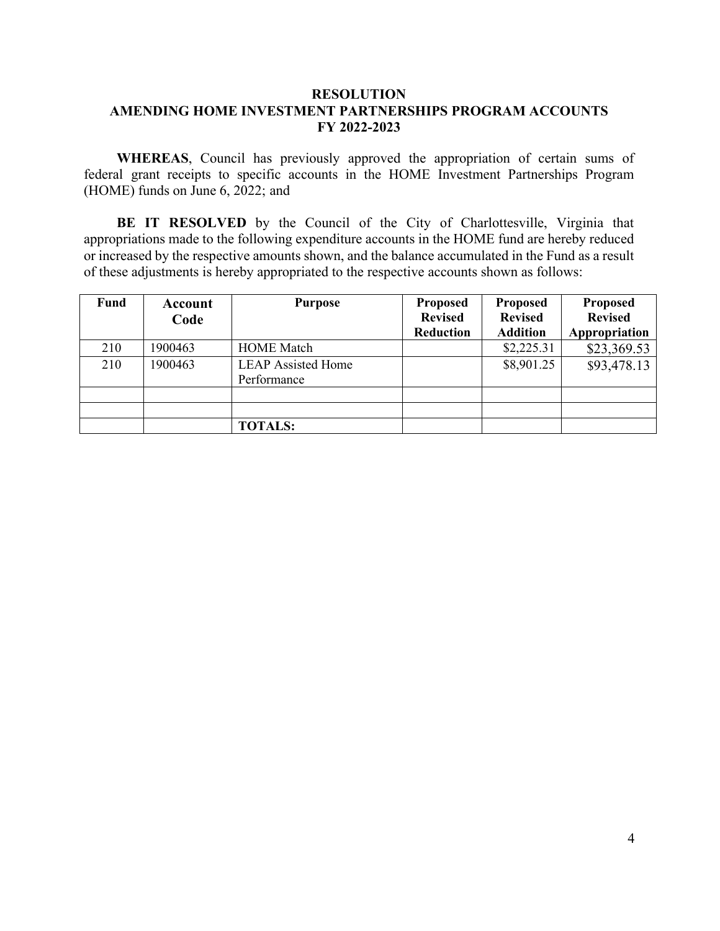#### **RESOLUTION AMENDING HOME INVESTMENT PARTNERSHIPS PROGRAM ACCOUNTS FY 2022-2023**

**WHEREAS**, Council has previously approved the appropriation of certain sums of federal grant receipts to specific accounts in the HOME Investment Partnerships Program (HOME) funds on June 6, 2022; and

**BE IT RESOLVED** by the Council of the City of Charlottesville, Virginia that appropriations made to the following expenditure accounts in the HOME fund are hereby reduced or increased by the respective amounts shown, and the balance accumulated in the Fund as a result of these adjustments is hereby appropriated to the respective accounts shown as follows:

| Fund | Account<br>Code | <b>Purpose</b>                           | <b>Proposed</b><br><b>Revised</b><br>Reduction | <b>Proposed</b><br><b>Revised</b><br><b>Addition</b> | <b>Proposed</b><br><b>Revised</b><br>Appropriation |
|------|-----------------|------------------------------------------|------------------------------------------------|------------------------------------------------------|----------------------------------------------------|
| 210  | 1900463         | <b>HOME</b> Match                        |                                                | \$2,225.31                                           | \$23,369.53                                        |
| 210  | 1900463         | <b>LEAP Assisted Home</b><br>Performance |                                                | \$8,901.25                                           | \$93,478.13                                        |
|      |                 |                                          |                                                |                                                      |                                                    |
|      |                 |                                          |                                                |                                                      |                                                    |
|      |                 | <b>TOTALS:</b>                           |                                                |                                                      |                                                    |